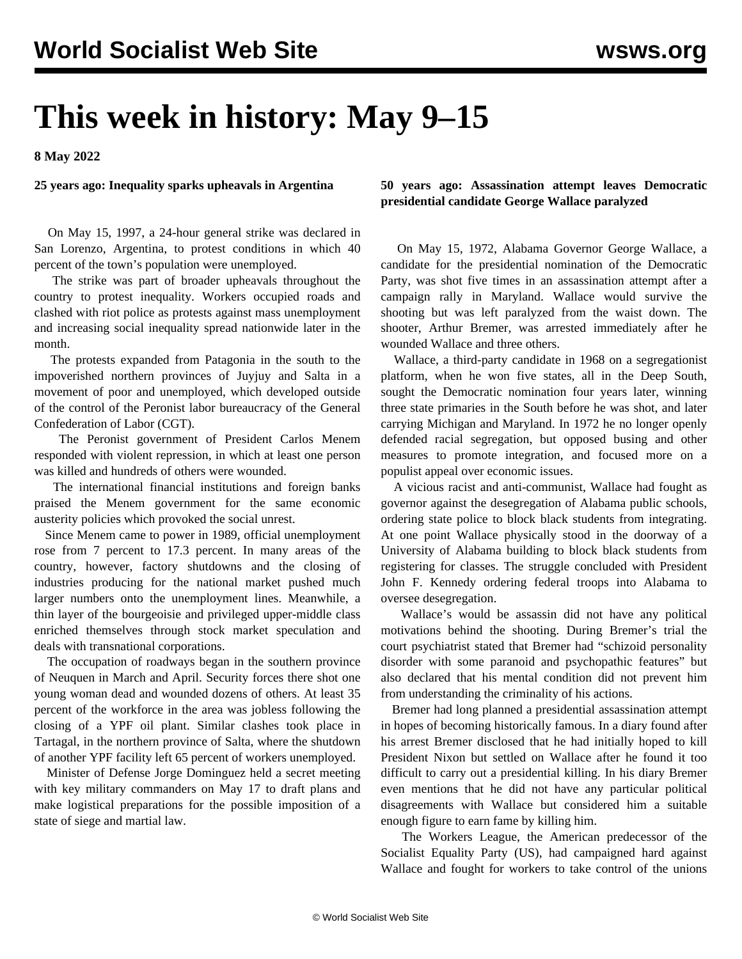# **This week in history: May 9–15**

**8 May 2022**

#### **25 years ago: Inequality sparks upheavals in Argentina**

 On May 15, 1997, a 24-hour general strike was declared in San Lorenzo, Argentina, to protest conditions in which 40 percent of the town's population were unemployed.

 The strike was part of broader upheavals throughout the country to protest inequality. Workers occupied roads and clashed with riot police as protests against mass unemployment and increasing social inequality spread nationwide later in the month.

 The protests expanded from Patagonia in the south to the impoverished northern provinces of Juyjuy and Salta in a movement of poor and unemployed, which developed outside of the control of the Peronist labor bureaucracy of the General Confederation of Labor (CGT).

 The Peronist government of President Carlos Menem responded with violent repression, in which at least one person was killed and hundreds of others were wounded.

 The international financial institutions and foreign banks praised the Menem government for the same economic austerity policies which provoked the social unrest.

 Since Menem came to power in 1989, official unemployment rose from 7 percent to 17.3 percent. In many areas of the country, however, factory shutdowns and the closing of industries producing for the national market pushed much larger numbers onto the unemployment lines. Meanwhile, a thin layer of the bourgeoisie and privileged upper-middle class enriched themselves through stock market speculation and deals with transnational corporations.

 The occupation of roadways began in the southern province of Neuquen in March and April. Security forces there shot one young woman dead and wounded dozens of others. At least 35 percent of the workforce in the area was jobless following the closing of a YPF oil plant. Similar clashes took place in Tartagal, in the northern province of Salta, where the shutdown of another YPF facility left 65 percent of workers unemployed.

 Minister of Defense Jorge Dominguez held a secret meeting with key military commanders on May 17 to draft plans and make logistical preparations for the possible imposition of a state of siege and martial law.

## **50 years ago: Assassination attempt leaves Democratic presidential candidate George Wallace paralyzed**

 On May 15, 1972, Alabama Governor George Wallace, a candidate for the presidential nomination of the Democratic Party, was shot five times in an assassination attempt after a campaign rally in Maryland. Wallace would survive the shooting but was left paralyzed from the waist down. The shooter, Arthur Bremer, was arrested immediately after he wounded Wallace and three others.

 Wallace, a third-party candidate in 1968 on a segregationist platform, when he won five states, all in the Deep South, sought the Democratic nomination four years later, winning three state primaries in the South before he was shot, and later carrying Michigan and Maryland. In 1972 he no longer openly defended racial segregation, but opposed busing and other measures to promote integration, and focused more on a populist appeal over economic issues.

 A vicious racist and anti-communist, Wallace had fought as governor against the desegregation of Alabama public schools, ordering state police to block black students from integrating. At one point Wallace physically stood in the doorway of a University of Alabama building to block black students from registering for classes. The struggle concluded with President John F. Kennedy ordering federal troops into Alabama to oversee desegregation.

 Wallace's would be assassin did not have any political motivations behind the shooting. During Bremer's trial the court psychiatrist stated that Bremer had "schizoid personality disorder with some paranoid and psychopathic features" but also declared that his mental condition did not prevent him from understanding the criminality of his actions.

 Bremer had long planned a presidential assassination attempt in hopes of becoming historically famous. In a diary found after his arrest Bremer disclosed that he had initially hoped to kill President Nixon but settled on Wallace after he found it too difficult to carry out a presidential killing. In his diary Bremer even mentions that he did not have any particular political disagreements with Wallace but considered him a suitable enough figure to earn fame by killing him.

 The Workers League, the American predecessor of the Socialist Equality Party (US), had campaigned hard against Wallace and fought for workers to take control of the unions